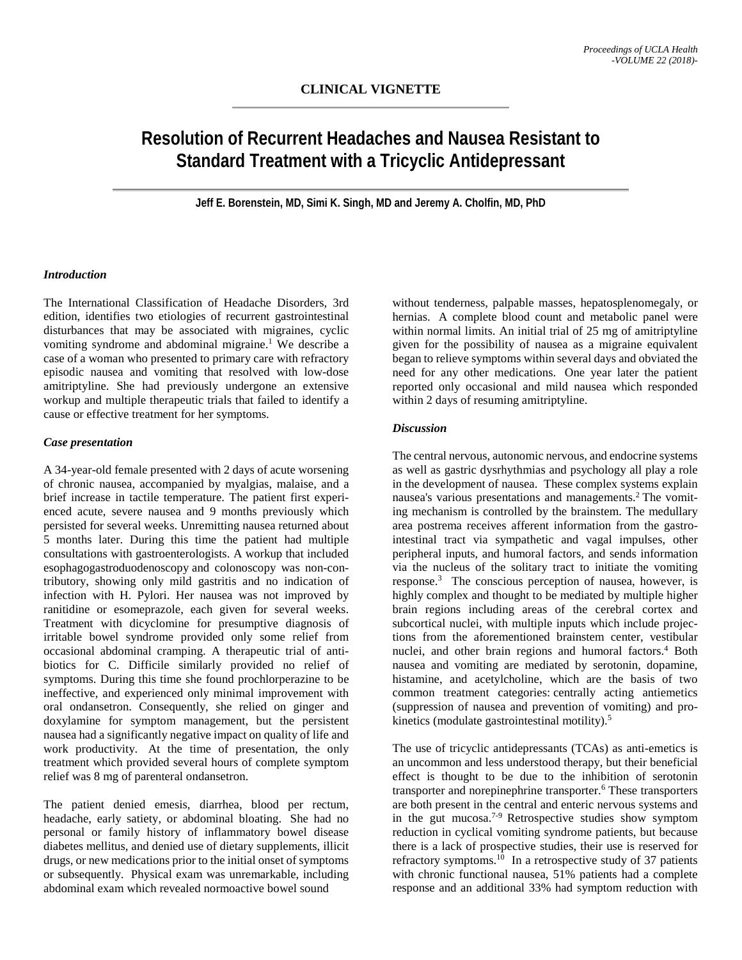# **Resolution of Recurrent Headaches and Nausea Resistant to Standard Treatment with a Tricyclic Antidepressant**

**Jeff E. Borenstein, MD, Simi K. Singh, MD and Jeremy A. Cholfin, MD, PhD**

#### *Introduction*

The International Classification of Headache Disorders, 3rd edition, identifies two etiologies of recurrent gastrointestinal disturbances that may be associated with migraines, cyclic vomiting syndrome and abdominal migraine. <sup>1</sup> We describe a case of a woman who presented to primary care with refractory episodic nausea and vomiting that resolved with low-dose amitriptyline. She had previously undergone an extensive workup and multiple therapeutic trials that failed to identify a cause or effective treatment for her symptoms.

## *Case presentation*

A 34-year-old female presented with 2 days of acute worsening of chronic nausea, accompanied by myalgias, malaise, and a brief increase in tactile temperature. The patient first experienced acute, severe nausea and 9 months previously which persisted for several weeks. Unremitting nausea returned about 5 months later. During this time the patient had multiple consultations with gastroenterologists. A workup that included esophagogastroduodenoscopy and colonoscopy was non-contributory, showing only mild gastritis and no indication of infection with H. Pylori. Her nausea was not improved by ranitidine or esomeprazole, each given for several weeks. Treatment with dicyclomine for presumptive diagnosis of irritable bowel syndrome provided only some relief from occasional abdominal cramping. A therapeutic trial of antibiotics for C. Difficile similarly provided no relief of symptoms. During this time she found prochlorperazine to be ineffective, and experienced only minimal improvement with oral ondansetron. Consequently, she relied on ginger and doxylamine for symptom management, but the persistent nausea had a significantly negative impact on quality of life and work productivity. At the time of presentation, the only treatment which provided several hours of complete symptom relief was 8 mg of parenteral ondansetron.

The patient denied emesis, diarrhea, blood per rectum, headache, early satiety, or abdominal bloating. She had no personal or family history of inflammatory bowel disease diabetes mellitus, and denied use of dietary supplements, illicit drugs, or new medications prior to the initial onset of symptoms or subsequently. Physical exam was unremarkable, including abdominal exam which revealed normoactive bowel sound

without tenderness, palpable masses, hepatosplenomegaly, or hernias. A complete blood count and metabolic panel were within normal limits. An initial trial of 25 mg of amitriptyline given for the possibility of nausea as a migraine equivalent began to relieve symptoms within several days and obviated the need for any other medications. One year later the patient reported only occasional and mild nausea which responded within 2 days of resuming amitriptyline.

## *Discussion*

The central nervous, autonomic nervous, and endocrine systems as well as gastric dysrhythmias and psychology all play a role in the development of nausea. These complex systems explain nausea's various presentations and managements.<sup>2</sup> The vomiting mechanism is controlled by the brainstem. The medullary area postrema receives afferent information from the gastrointestinal tract via sympathetic and vagal impulses, other peripheral inputs, and humoral factors, and sends information via the nucleus of the solitary tract to initiate the vomiting response.<sup>3</sup> The conscious perception of nausea, however, is highly complex and thought to be mediated by multiple higher brain regions including areas of the cerebral cortex and subcortical nuclei, with multiple inputs which include projections from the aforementioned brainstem center, vestibular nuclei, and other brain regions and humoral factors.<sup>4</sup> Both nausea and vomiting are mediated by serotonin, dopamine, histamine, and acetylcholine, which are the basis of two common treatment categories: centrally acting antiemetics (suppression of nausea and prevention of vomiting) and prokinetics (modulate gastrointestinal motility).<sup>5</sup>

The use of tricyclic antidepressants (TCAs) as anti-emetics is an uncommon and less understood therapy, but their beneficial effect is thought to be due to the inhibition of serotonin transporter and norepinephrine transporter.<sup>6</sup> These transporters are both present in the central and enteric nervous systems and in the gut mucosa. 7-9 Retrospective studies show symptom reduction in cyclical vomiting syndrome patients, but because there is a lack of prospective studies, their use is reserved for refractory symptoms.<sup>10</sup> In a retrospective study of 37 patients with chronic functional nausea, 51% patients had a complete response and an additional 33% had symptom reduction with